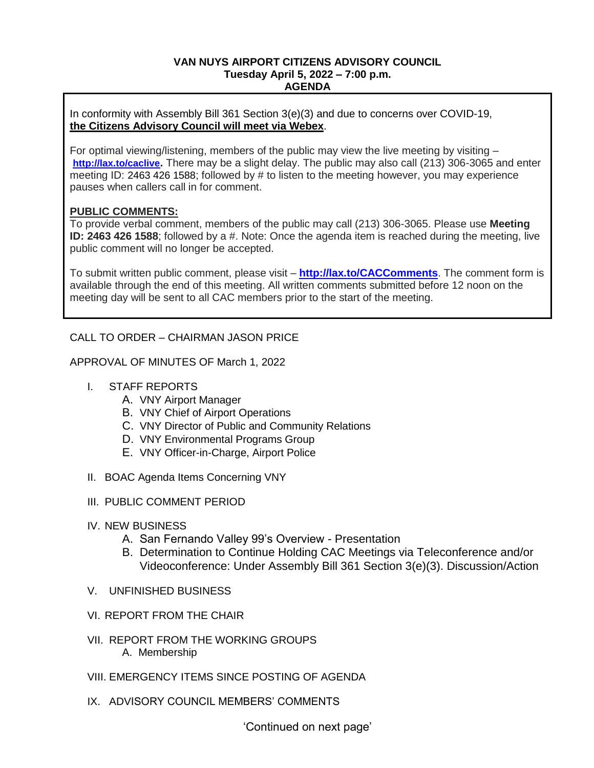## **VAN NUYS AIRPORT CITIZENS ADVISORY COUNCIL Tuesday April 5, 2022 – 7:00 p.m. AGENDA**

In conformity with Assembly Bill 361 Section 3(e)(3) and due to concerns over COVID-19, **the Citizens Advisory Council will meet via Webex**.

For optimal viewing/listening, members of the public may view the live meeting by visiting – **<http://lax.to/caclive>.** There may be a slight delay. The public may also call (213) 306-3065 and enter meeting ID: 2463 426 1588; followed by # to listen to the meeting however, you may experience pauses when callers call in for comment.

## **PUBLIC COMMENTS:**

To provide verbal comment, members of the public may call (213) 306-3065. Please use **Meeting ID: 2463 426 1588**; followed by a #. Note: Once the agenda item is reached during the meeting, live public comment will no longer be accepted.

To submit written public comment, please visit – **<http://lax.to/CACComments>**. The comment form is available through the end of this meeting. All written comments submitted before 12 noon on the meeting day will be sent to all CAC members prior to the start of the meeting.

# CALL TO ORDER – CHAIRMAN JASON PRICE

APPROVAL OF MINUTES OF March 1, 2022

- I. STAFF REPORTS
	- A. VNY Airport Manager
	- B. VNY Chief of Airport Operations
	- C. VNY Director of Public and Community Relations
	- D. VNY Environmental Programs Group
	- E. VNY Officer-in-Charge, Airport Police
- II. BOAC Agenda Items Concerning VNY
- III. PUBLIC COMMENT PERIOD
- IV. NEW BUSINESS
	- A. San Fernando Valley 99's Overview Presentation
	- B. Determination to Continue Holding CAC Meetings via Teleconference and/or Videoconference: Under Assembly Bill 361 Section 3(e)(3). Discussion/Action
- V. UNFINISHED BUSINESS
- VI. REPORT FROM THE CHAIR
- VII. REPORT FROM THE WORKING GROUPS A. Membership
- VIII. EMERGENCY ITEMS SINCE POSTING OF AGENDA
- IX. ADVISORY COUNCIL MEMBERS' COMMENTS

'Continued on next page'